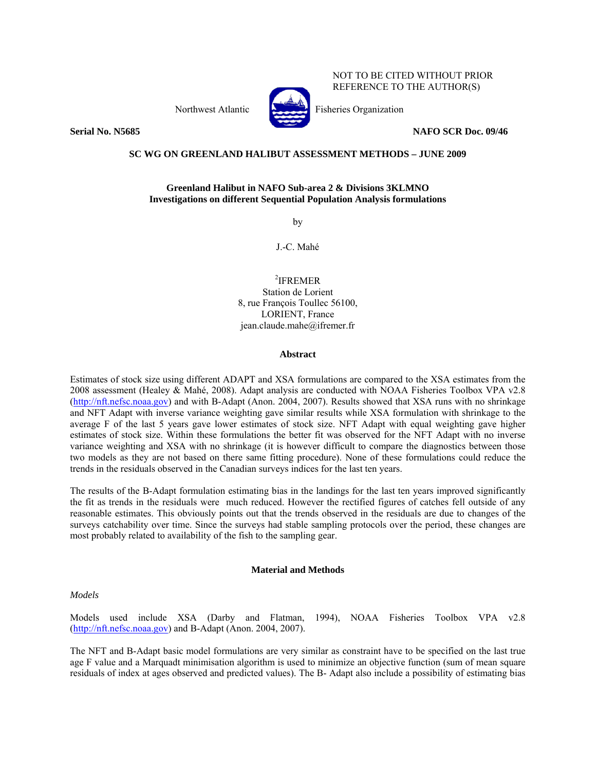Northwest Atlantic Fisheries Organization



NOT TO BE CITED WITHOUT PRIOR REFERENCE TO THE AUTHOR(S)

**Serial No. N5685** NAFO SCR Doc. 09/46

# **SC WG ON GREENLAND HALIBUT ASSESSMENT METHODS – JUNE 2009**

# **Greenland Halibut in NAFO Sub-area 2 & Divisions 3KLMNO Investigations on different Sequential Population Analysis formulations**

by

J.-C. Mahé

2 IFREMER Station de Lorient 8, rue François Toullec 56100, LORIENT, France jean.claude.mahe@ifremer.fr

#### **Abstract**

Estimates of stock size using different ADAPT and XSA formulations are compared to the XSA estimates from the 2008 assessment (Healey & Mahé, 2008). Adapt analysis are conducted with NOAA Fisheries Toolbox VPA v2.8 (http://nft.nefsc.noaa.gov) and with B-Adapt (Anon. 2004, 2007). Results showed that XSA runs with no shrinkage and NFT Adapt with inverse variance weighting gave similar results while XSA formulation with shrinkage to the average F of the last 5 years gave lower estimates of stock size. NFT Adapt with equal weighting gave higher estimates of stock size. Within these formulations the better fit was observed for the NFT Adapt with no inverse variance weighting and XSA with no shrinkage (it is however difficult to compare the diagnostics between those two models as they are not based on there same fitting procedure). None of these formulations could reduce the trends in the residuals observed in the Canadian surveys indices for the last ten years.

The results of the B-Adapt formulation estimating bias in the landings for the last ten years improved significantly the fit as trends in the residuals were much reduced. However the rectified figures of catches fell outside of any reasonable estimates. This obviously points out that the trends observed in the residuals are due to changes of the surveys catchability over time. Since the surveys had stable sampling protocols over the period, these changes are most probably related to availability of the fish to the sampling gear.

### **Material and Methods**

*Models* 

Models used include XSA (Darby and Flatman, 1994), NOAA Fisheries Toolbox VPA v2.8 (http://nft.nefsc.noaa.gov) and B-Adapt (Anon. 2004, 2007).

The NFT and B-Adapt basic model formulations are very similar as constraint have to be specified on the last true age F value and a Marquadt minimisation algorithm is used to minimize an objective function (sum of mean square residuals of index at ages observed and predicted values). The B- Adapt also include a possibility of estimating bias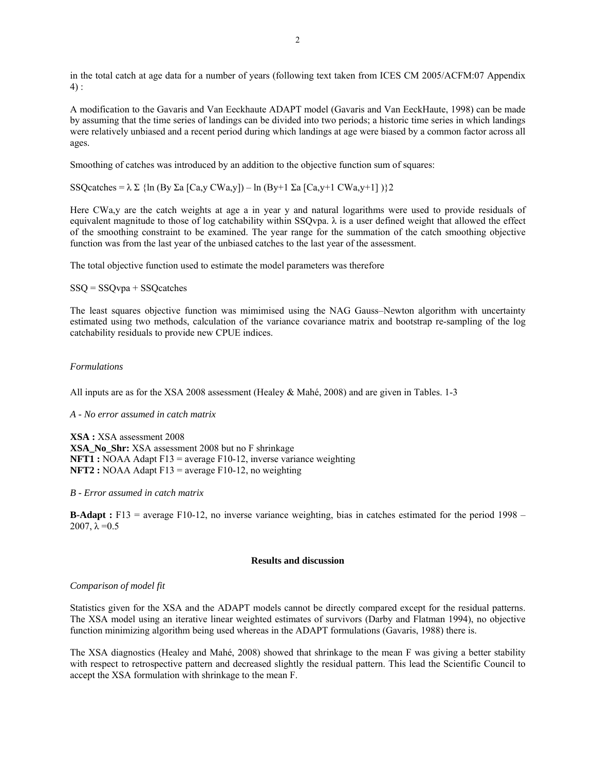in the total catch at age data for a number of years (following text taken from ICES CM 2005/ACFM:07 Appendix  $4)$  :

A modification to the Gavaris and Van Eeckhaute ADAPT model (Gavaris and Van EeckHaute, 1998) can be made by assuming that the time series of landings can be divided into two periods; a historic time series in which landings were relatively unbiased and a recent period during which landings at age were biased by a common factor across all ages.

Smoothing of catches was introduced by an addition to the objective function sum of squares:

SSQcatches =  $\lambda \Sigma$  {ln (By  $\Sigma$ a [Ca,y CWa,y]) – ln (By+1  $\Sigma$ a [Ca,y+1 CWa,y+1])}2

Here CWa,y are the catch weights at age a in year y and natural logarithms were used to provide residuals of equivalent magnitude to those of log catchability within SSQvpa.  $\lambda$  is a user defined weight that allowed the effect of the smoothing constraint to be examined. The year range for the summation of the catch smoothing objective function was from the last year of the unbiased catches to the last year of the assessment.

The total objective function used to estimate the model parameters was therefore

## SSQ = SSQvpa + SSQcatches

The least squares objective function was mimimised using the NAG Gauss–Newton algorithm with uncertainty estimated using two methods, calculation of the variance covariance matrix and bootstrap re-sampling of the log catchability residuals to provide new CPUE indices.

## *Formulations*

All inputs are as for the XSA 2008 assessment (Healey & Mahé, 2008) and are given in Tables. 1-3

### *A - No error assumed in catch matrix*

**XSA :** XSA assessment 2008 **XSA\_No\_Shr:** XSA assessment 2008 but no F shrinkage **NFT1 :** NOAA Adapt F13 = average F10-12, inverse variance weighting **NFT2 :** NOAA Adapt F13 = average F10-12, no weighting

### *B - Error assumed in catch matrix*

**B-Adapt :** F13 = average F10-12, no inverse variance weighting, bias in catches estimated for the period 1998 – 2007,  $\lambda = 0.5$ 

### **Results and discussion**

### *Comparison of model fit*

Statistics given for the XSA and the ADAPT models cannot be directly compared except for the residual patterns. The XSA model using an iterative linear weighted estimates of survivors (Darby and Flatman 1994), no objective function minimizing algorithm being used whereas in the ADAPT formulations (Gavaris, 1988) there is.

The XSA diagnostics (Healey and Mahé, 2008) showed that shrinkage to the mean F was giving a better stability with respect to retrospective pattern and decreased slightly the residual pattern. This lead the Scientific Council to accept the XSA formulation with shrinkage to the mean F.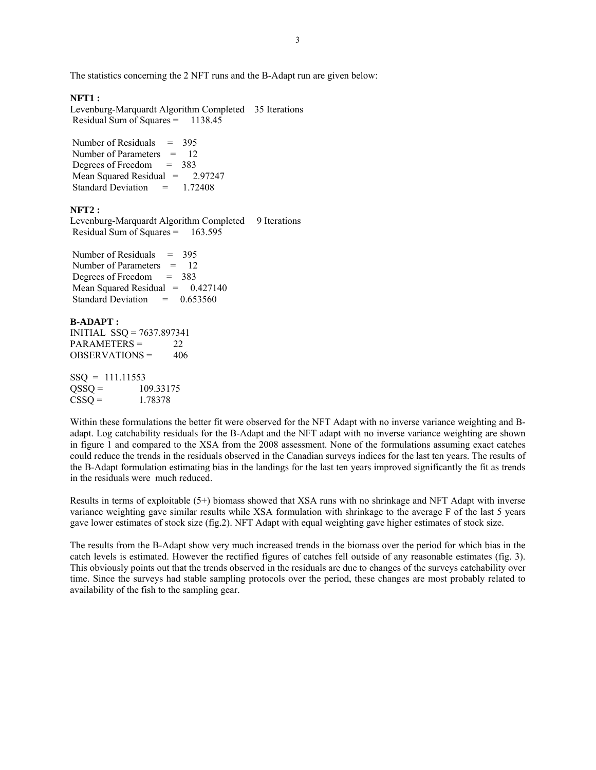The statistics concerning the 2 NFT runs and the B-Adapt run are given below:

# **NFT1 :**

Levenburg-Marquardt Algorithm Completed 35 Iterations Residual Sum of Squares = 1138.45

Number of Residuals  $= 395$ Number of Parameters = 12 Degrees of Freedom = 383 Mean Squared Residual = 2.97247 Standard Deviation = 1.72408

#### **NFT2 :**

Levenburg-Marquardt Algorithm Completed 9 Iterations Residual Sum of Squares = 163.595

Number of Residuals  $= 395$  Number of Parameters = 12 Degrees of Freedom = 383 Mean Squared Residual  $= 0.427140$ Standard Deviation  $= 0.653560$ 

### **B-ADAPT :**  INITIAL SSQ = 7637.897341  $PARAMETERS = 22$ OBSERVATIONS = 406

 $SSO = 111.11553$  $QSSQ = 109.33175$  $CSSQ = 1.78378$ 

Within these formulations the better fit were observed for the NFT Adapt with no inverse variance weighting and Badapt. Log catchability residuals for the B-Adapt and the NFT adapt with no inverse variance weighting are shown in figure 1 and compared to the XSA from the 2008 assessment. None of the formulations assuming exact catches could reduce the trends in the residuals observed in the Canadian surveys indices for the last ten years. The results of the B-Adapt formulation estimating bias in the landings for the last ten years improved significantly the fit as trends in the residuals were much reduced.

Results in terms of exploitable (5+) biomass showed that XSA runs with no shrinkage and NFT Adapt with inverse variance weighting gave similar results while XSA formulation with shrinkage to the average F of the last 5 years gave lower estimates of stock size (fig.2). NFT Adapt with equal weighting gave higher estimates of stock size.

The results from the B-Adapt show very much increased trends in the biomass over the period for which bias in the catch levels is estimated. However the rectified figures of catches fell outside of any reasonable estimates (fig. 3). This obviously points out that the trends observed in the residuals are due to changes of the surveys catchability over time. Since the surveys had stable sampling protocols over the period, these changes are most probably related to availability of the fish to the sampling gear.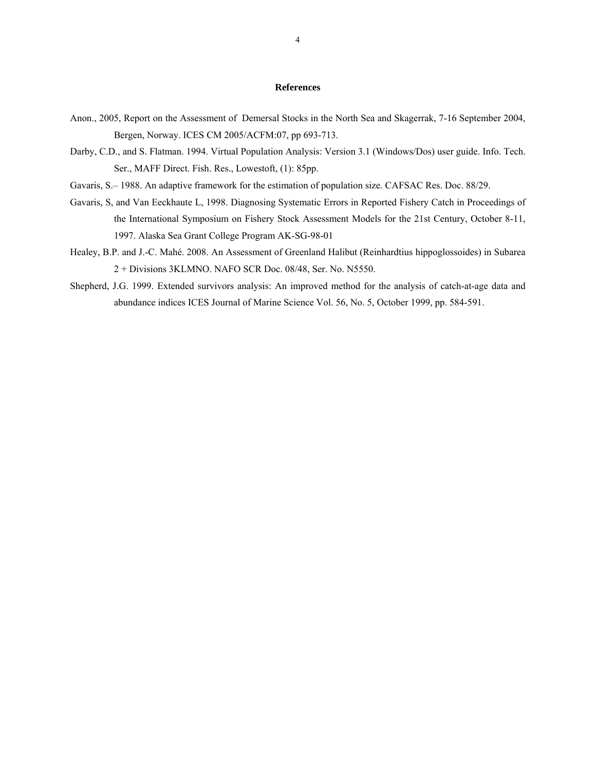## **References**

- Anon., 2005, Report on the Assessment of Demersal Stocks in the North Sea and Skagerrak, 7-16 September 2004, Bergen, Norway. ICES CM 2005/ACFM:07, pp 693-713.
- Darby, C.D., and S. Flatman. 1994. Virtual Population Analysis: Version 3.1 (Windows/Dos) user guide. Info. Tech. Ser., MAFF Direct. Fish. Res., Lowestoft, (1): 85pp.
- Gavaris, S.– 1988. An adaptive framework for the estimation of population size. CAFSAC Res. Doc. 88/29.
- Gavaris, S, and Van Eeckhaute L, 1998. Diagnosing Systematic Errors in Reported Fishery Catch in Proceedings of the International Symposium on Fishery Stock Assessment Models for the 21st Century, October 8-11, 1997. Alaska Sea Grant College Program AK-SG-98-01
- Healey, B.P. and J.-C. Mahé. 2008. An Assessment of Greenland Halibut (Reinhardtius hippoglossoides) in Subarea 2 + Divisions 3KLMNO. NAFO SCR Doc. 08/48, Ser. No. N5550.
- Shepherd, J.G. 1999. Extended survivors analysis: An improved method for the analysis of catch-at-age data and abundance indices ICES Journal of Marine Science Vol. 56, No. 5, October 1999, pp. 584-591.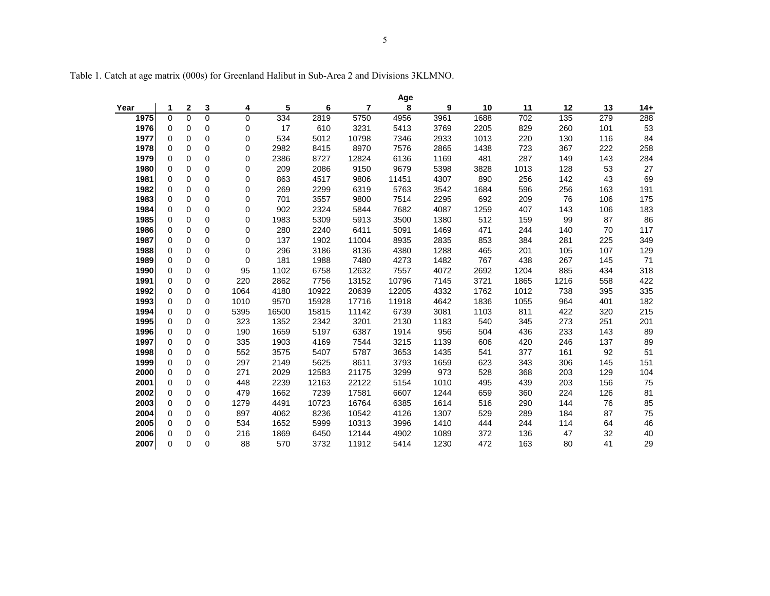Year I 1 2 3 4 5 6 7 8 9 10 11 12 13 14+  $14+$ **1975** 0 0 0 0 334 2819 5750 4956 3961 1688 702 135 279 288 **1976** 0 0 0 0 17 610 3231 5413 3769 2205 829 260 101 53 **1977** 0 0 0 0 534 5012 10798 7346 2933 1013 220 130 116 84 **1978** 0 0 0 0 2982 8415 8970 7576 2865 1438 723 367 222 258258 **1979** 0 0 0 0 2386 8727 12824 6136 1169 481 287 149 143 284 **1980** 0 0 0 0 209 2086 9150 9679 5398 3828 1013 128 53 27 **1981** 0 0 0 0 863 4517 9806 11451 4307 890 256 142 43 69 **1982** 0 0 0 0 269 2299 6319 5763 3542 1684 596 256 163 191 **1983** 0 0 0 0 701 3557 9800 7514 2295 692 209 76 106 175 **1984** 0 0 0 0 902 2324 5844 7682 4087 1259 407 143 106 183 **1985** 0 0 0 0 1983 5309 5913 3500 1380 512 159 99 87 86 **1986** 0 0 0 0 280 2240 6411 5091 1469 471 244 140 70 117 **1987** 0 0 0 0 137 1902 11004 8935 2835 853 384 281 225 349 **1988** 0 0 0 0 296 3186 8136 4380 1288 465 201 105 107 129 **1989** 0 0 0 0 181 1988 7480 4273 1482 767 438 267 145 71 **1990** 0 0 0 95 1102 6758 12632 7557 4072 2692 1204 885 434 318 **1991** 0 0 0 220 2862 7756 13152 10796 7145 3721 1865 1216 558 422422 **1992** 0 0 0 1064 4180 10922 20639 12205 4332 1762 1012 738 395 335 **1993** 0 0 0 1010 9570 15928 17716 11918 4642 1836 1055 964 401 182 **1994** 0 0 0 5395 16500 15815 11142 6739 3081 1103 811 422 320 215 **1995** 0 0 0 323 1352 2342 3201 2130 1183 540 345 273 251 201 **1996** 0 0 0 190 1659 5197 6387 1914 956 504 436 233 143 89 **1997** 0 0 0 335 1903 4169 7544 3215 1139 606 420 246 137 89 **1998** 0 0 0 552 3575 5407 5787 3653 1435 541 377 161 92 51 **1999** 0 0 0 297 2149 5625 8611 3793 1659 623 343 306 145 151 **2000** 0 0 0 271 2029 12583 21175 3299 973 528 368 203 129 104 **2001** 0 0 0 448 2239 12163 22122 5154 1010 495 439 203 156 75 **2002** 0 0 0 479 1662 7239 17581 6607 1244 659 360 224 126 81 **2003** 0 0 0 1279 4491 10723 16764 6385 1614 516 290 144 76 85 **2004** 0 0 0 897 4062 8236 10542 4126 1307 529 289 184 87 75 **2005** 0 0 0 534 1652 5999 10313 3996 1410 444 244 114 64 46 **2006** 0 0 0 216 1869 6450 12144 4902 1089 372 136 47 32 40 **2007** 0 0 0 88 570 3732 11912 5414 1230 472 163 80 41 29 **Age**

Table 1. Catch at age matrix (000s) for Greenland Halibut in Sub-Area 2 and Divisions 3KLMNO.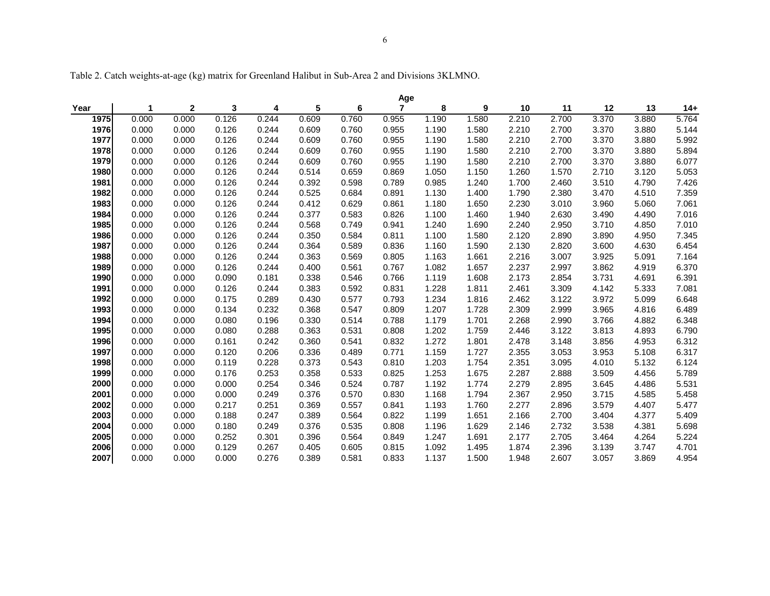Table 2. Catch weights-at-age (kg) matrix for Greenland Halibut in Sub-Area 2 and Divisions 3KLMNO.

|      | Age   |              |       |       |       |       |                |       |       |       |       |       |       |       |
|------|-------|--------------|-------|-------|-------|-------|----------------|-------|-------|-------|-------|-------|-------|-------|
| Year | 1     | $\mathbf{2}$ | 3     | 4     | 5     | 6     | $\overline{7}$ | 8     | 9     | 10    | 11    | 12    | 13    | $14+$ |
| 1975 | 0.000 | 0.000        | 0.126 | 0.244 | 0.609 | 0.760 | 0.955          | 1.190 | 1.580 | 2.210 | 2.700 | 3.370 | 3.880 | 5.764 |
| 1976 | 0.000 | 0.000        | 0.126 | 0.244 | 0.609 | 0.760 | 0.955          | 1.190 | 1.580 | 2.210 | 2.700 | 3.370 | 3.880 | 5.144 |
| 1977 | 0.000 | 0.000        | 0.126 | 0.244 | 0.609 | 0.760 | 0.955          | 1.190 | 1.580 | 2.210 | 2.700 | 3.370 | 3.880 | 5.992 |
| 1978 | 0.000 | 0.000        | 0.126 | 0.244 | 0.609 | 0.760 | 0.955          | 1.190 | 1.580 | 2.210 | 2.700 | 3.370 | 3.880 | 5.894 |
| 1979 | 0.000 | 0.000        | 0.126 | 0.244 | 0.609 | 0.760 | 0.955          | 1.190 | 1.580 | 2.210 | 2.700 | 3.370 | 3.880 | 6.077 |
| 1980 | 0.000 | 0.000        | 0.126 | 0.244 | 0.514 | 0.659 | 0.869          | 1.050 | 1.150 | 1.260 | 1.570 | 2.710 | 3.120 | 5.053 |
| 1981 | 0.000 | 0.000        | 0.126 | 0.244 | 0.392 | 0.598 | 0.789          | 0.985 | 1.240 | 1.700 | 2.460 | 3.510 | 4.790 | 7.426 |
| 1982 | 0.000 | 0.000        | 0.126 | 0.244 | 0.525 | 0.684 | 0.891          | 1.130 | 1.400 | 1.790 | 2.380 | 3.470 | 4.510 | 7.359 |
| 1983 | 0.000 | 0.000        | 0.126 | 0.244 | 0.412 | 0.629 | 0.861          | 1.180 | 1.650 | 2.230 | 3.010 | 3.960 | 5.060 | 7.061 |
| 1984 | 0.000 | 0.000        | 0.126 | 0.244 | 0.377 | 0.583 | 0.826          | 1.100 | 1.460 | 1.940 | 2.630 | 3.490 | 4.490 | 7.016 |
| 1985 | 0.000 | 0.000        | 0.126 | 0.244 | 0.568 | 0.749 | 0.941          | 1.240 | 1.690 | 2.240 | 2.950 | 3.710 | 4.850 | 7.010 |
| 1986 | 0.000 | 0.000        | 0.126 | 0.244 | 0.350 | 0.584 | 0.811          | 1.100 | 1.580 | 2.120 | 2.890 | 3.890 | 4.950 | 7.345 |
| 1987 | 0.000 | 0.000        | 0.126 | 0.244 | 0.364 | 0.589 | 0.836          | 1.160 | 1.590 | 2.130 | 2.820 | 3.600 | 4.630 | 6.454 |
| 1988 | 0.000 | 0.000        | 0.126 | 0.244 | 0.363 | 0.569 | 0.805          | 1.163 | 1.661 | 2.216 | 3.007 | 3.925 | 5.091 | 7.164 |
| 1989 | 0.000 | 0.000        | 0.126 | 0.244 | 0.400 | 0.561 | 0.767          | 1.082 | 1.657 | 2.237 | 2.997 | 3.862 | 4.919 | 6.370 |
| 1990 | 0.000 | 0.000        | 0.090 | 0.181 | 0.338 | 0.546 | 0.766          | 1.119 | 1.608 | 2.173 | 2.854 | 3.731 | 4.691 | 6.391 |
| 1991 | 0.000 | 0.000        | 0.126 | 0.244 | 0.383 | 0.592 | 0.831          | 1.228 | 1.811 | 2.461 | 3.309 | 4.142 | 5.333 | 7.081 |
| 1992 | 0.000 | 0.000        | 0.175 | 0.289 | 0.430 | 0.577 | 0.793          | 1.234 | 1.816 | 2.462 | 3.122 | 3.972 | 5.099 | 6.648 |
| 1993 | 0.000 | 0.000        | 0.134 | 0.232 | 0.368 | 0.547 | 0.809          | 1.207 | 1.728 | 2.309 | 2.999 | 3.965 | 4.816 | 6.489 |
| 1994 | 0.000 | 0.000        | 0.080 | 0.196 | 0.330 | 0.514 | 0.788          | 1.179 | 1.701 | 2.268 | 2.990 | 3.766 | 4.882 | 6.348 |
| 1995 | 0.000 | 0.000        | 0.080 | 0.288 | 0.363 | 0.531 | 0.808          | 1.202 | 1.759 | 2.446 | 3.122 | 3.813 | 4.893 | 6.790 |
| 1996 | 0.000 | 0.000        | 0.161 | 0.242 | 0.360 | 0.541 | 0.832          | 1.272 | 1.801 | 2.478 | 3.148 | 3.856 | 4.953 | 6.312 |
| 1997 | 0.000 | 0.000        | 0.120 | 0.206 | 0.336 | 0.489 | 0.771          | 1.159 | 1.727 | 2.355 | 3.053 | 3.953 | 5.108 | 6.317 |
| 1998 | 0.000 | 0.000        | 0.119 | 0.228 | 0.373 | 0.543 | 0.810          | 1.203 | 1.754 | 2.351 | 3.095 | 4.010 | 5.132 | 6.124 |
| 1999 | 0.000 | 0.000        | 0.176 | 0.253 | 0.358 | 0.533 | 0.825          | 1.253 | 1.675 | 2.287 | 2.888 | 3.509 | 4.456 | 5.789 |
| 2000 | 0.000 | 0.000        | 0.000 | 0.254 | 0.346 | 0.524 | 0.787          | 1.192 | 1.774 | 2.279 | 2.895 | 3.645 | 4.486 | 5.531 |
| 2001 | 0.000 | 0.000        | 0.000 | 0.249 | 0.376 | 0.570 | 0.830          | 1.168 | 1.794 | 2.367 | 2.950 | 3.715 | 4.585 | 5.458 |
| 2002 | 0.000 | 0.000        | 0.217 | 0.251 | 0.369 | 0.557 | 0.841          | 1.193 | 1.760 | 2.277 | 2.896 | 3.579 | 4.407 | 5.477 |
| 2003 | 0.000 | 0.000        | 0.188 | 0.247 | 0.389 | 0.564 | 0.822          | 1.199 | 1.651 | 2.166 | 2.700 | 3.404 | 4.377 | 5.409 |
| 2004 | 0.000 | 0.000        | 0.180 | 0.249 | 0.376 | 0.535 | 0.808          | 1.196 | 1.629 | 2.146 | 2.732 | 3.538 | 4.381 | 5.698 |
| 2005 | 0.000 | 0.000        | 0.252 | 0.301 | 0.396 | 0.564 | 0.849          | 1.247 | 1.691 | 2.177 | 2.705 | 3.464 | 4.264 | 5.224 |
| 2006 | 0.000 | 0.000        | 0.129 | 0.267 | 0.405 | 0.605 | 0.815          | 1.092 | 1.495 | 1.874 | 2.396 | 3.139 | 3.747 | 4.701 |
| 2007 | 0.000 | 0.000        | 0.000 | 0.276 | 0.389 | 0.581 | 0.833          | 1.137 | 1.500 | 1.948 | 2.607 | 3.057 | 3.869 | 4.954 |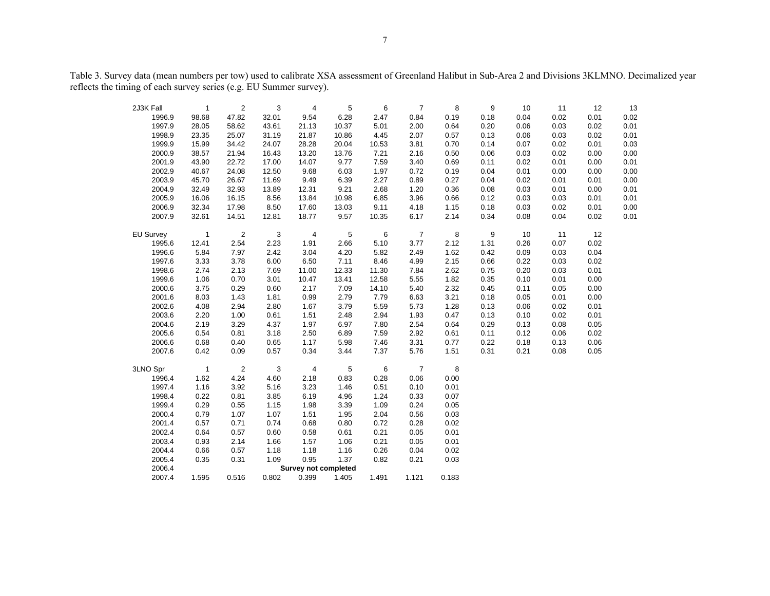Table 3. Survey data (mean numbers per tow) used to calibrate XSA assessment of Greenland Halibut in Sub-Area 2 and Divisions 3KLMNO. Decimalized year reflects the timing of each survey series (e.g. EU Summer survey).

| 2J3K Fall                                                                      | $\mathbf{1}$   | $\overline{2}$ | 3     | 4              | 5     | 6       | $\overline{7}$ | 8    | 9    | 10   | 11   | 12   | 13   |
|--------------------------------------------------------------------------------|----------------|----------------|-------|----------------|-------|---------|----------------|------|------|------|------|------|------|
| 1996.9                                                                         | 98.68          | 47.82          | 32.01 | 9.54           | 6.28  | 2.47    | 0.84           | 0.19 | 0.18 | 0.04 | 0.02 | 0.01 | 0.02 |
| 1997.9                                                                         | 28.05          | 58.62          | 43.61 | 21.13          | 10.37 | 5.01    | 2.00           | 0.64 | 0.20 | 0.06 | 0.03 | 0.02 | 0.01 |
| 1998.9                                                                         | 23.35          | 25.07          | 31.19 | 21.87          | 10.86 | 4.45    | 2.07           | 0.57 | 0.13 | 0.06 | 0.03 | 0.02 | 0.01 |
| 1999.9                                                                         | 15.99          | 34.42          | 24.07 | 28.28          | 20.04 | 10.53   | 3.81           | 0.70 | 0.14 | 0.07 | 0.02 | 0.01 | 0.03 |
| 2000.9                                                                         | 38.57          | 21.94          | 16.43 | 13.20          | 13.76 | 7.21    | 2.16           | 0.50 | 0.06 | 0.03 | 0.02 | 0.00 | 0.00 |
| 2001.9                                                                         | 43.90          | 22.72          | 17.00 | 14.07          | 9.77  | 7.59    | 3.40           | 0.69 | 0.11 | 0.02 | 0.01 | 0.00 | 0.01 |
| 2002.9                                                                         | 40.67          | 24.08          | 12.50 | 9.68           | 6.03  | 1.97    | 0.72           | 0.19 | 0.04 | 0.01 | 0.00 | 0.00 | 0.00 |
| 2003.9                                                                         | 45.70          | 26.67          | 11.69 | 9.49           | 6.39  | 2.27    | 0.89           | 0.27 | 0.04 | 0.02 | 0.01 | 0.01 | 0.00 |
| 2004.9                                                                         | 32.49          | 32.93          | 13.89 | 12.31          | 9.21  | 2.68    | 1.20           | 0.36 | 0.08 | 0.03 | 0.01 | 0.00 | 0.01 |
| 2005.9                                                                         | 16.06          | 16.15          | 8.56  | 13.84          | 10.98 | 6.85    | 3.96           | 0.66 | 0.12 | 0.03 | 0.03 | 0.01 | 0.01 |
| 2006.9                                                                         | 32.34          | 17.98          | 8.50  | 17.60          | 13.03 | 9.11    | 4.18           | 1.15 | 0.18 | 0.03 | 0.02 | 0.01 | 0.00 |
| 2007.9                                                                         | 32.61          | 14.51          | 12.81 | 18.77          | 9.57  | 10.35   | 6.17           | 2.14 | 0.34 | 0.08 | 0.04 | 0.02 | 0.01 |
|                                                                                |                |                |       |                |       |         |                |      |      |      |      |      |      |
| <b>EU Survey</b>                                                               | $\overline{1}$ | $\overline{2}$ | 3     | $\overline{4}$ | 5     | 6       | $\overline{7}$ | 8    | 9    | 10   | 11   | 12   |      |
| 1995.6                                                                         | 12.41          | 2.54           | 2.23  | 1.91           | 2.66  | 5.10    | 3.77           | 2.12 | 1.31 | 0.26 | 0.07 | 0.02 |      |
| 1996.6                                                                         | 5.84           | 7.97           | 2.42  | 3.04           | 4.20  | 5.82    | 2.49           | 1.62 | 0.42 | 0.09 | 0.03 | 0.04 |      |
| 1997.6                                                                         | 3.33           | 3.78           | 6.00  | 6.50           | 7.11  | 8.46    | 4.99           | 2.15 | 0.66 | 0.22 | 0.03 | 0.02 |      |
| 1998.6                                                                         | 2.74           | 2.13           | 7.69  | 11.00          | 12.33 | 11.30   | 7.84           | 2.62 | 0.75 | 0.20 | 0.03 | 0.01 |      |
| 1999.6                                                                         | 1.06           | 0.70           | 3.01  | 10.47          | 13.41 | 12.58   | 5.55           | 1.82 | 0.35 | 0.10 | 0.01 | 0.00 |      |
| 2000.6                                                                         | 3.75           | 0.29           | 0.60  | 2.17           | 7.09  | 14.10   | 5.40           | 2.32 | 0.45 | 0.11 | 0.05 | 0.00 |      |
| 2001.6                                                                         | 8.03           | 1.43           | 1.81  | 0.99           | 2.79  | 7.79    | 6.63           | 3.21 | 0.18 | 0.05 | 0.01 | 0.00 |      |
| 2002.6                                                                         | 4.08           | 2.94           | 2.80  | 1.67           | 3.79  | 5.59    | 5.73           | 1.28 | 0.13 | 0.06 | 0.02 | 0.01 |      |
| 2003.6                                                                         | 2.20           | 1.00           | 0.61  | 1.51           | 2.48  | 2.94    | 1.93           | 0.47 | 0.13 | 0.10 | 0.02 | 0.01 |      |
| 2004.6                                                                         | 2.19           | 3.29           | 4.37  | 1.97           | 6.97  | 7.80    | 2.54           | 0.64 | 0.29 | 0.13 | 0.08 | 0.05 |      |
| 2005.6                                                                         | 0.54           | 0.81           | 3.18  | 2.50           | 6.89  | 7.59    | 2.92           | 0.61 | 0.11 | 0.12 | 0.06 | 0.02 |      |
| 2006.6                                                                         | 0.68           | 0.40           | 0.65  | 1.17           | 5.98  | 7.46    | 3.31           | 0.77 | 0.22 | 0.18 | 0.13 | 0.06 |      |
| 2007.6                                                                         | 0.42           | 0.09           | 0.57  | 0.34           | 3.44  | 7.37    | 5.76           | 1.51 | 0.31 | 0.21 | 0.08 | 0.05 |      |
| 3LNO Spr                                                                       | $\overline{1}$ | $\overline{2}$ | 3     | $\overline{4}$ | 5     | $\,6\,$ | $\overline{7}$ | 8    |      |      |      |      |      |
| 1996.4                                                                         | 1.62           | 4.24           | 4.60  | 2.18           | 0.83  | 0.28    | 0.06           | 0.00 |      |      |      |      |      |
| 1997.4                                                                         | 1.16           | 3.92           | 5.16  | 3.23           | 1.46  | 0.51    | 0.10           | 0.01 |      |      |      |      |      |
| 1998.4                                                                         | 0.22           | 0.81           | 3.85  | 6.19           | 4.96  | 1.24    | 0.33           | 0.07 |      |      |      |      |      |
| 1999.4                                                                         | 0.29           | 0.55           | 1.15  | 1.98           | 3.39  | 1.09    | 0.24           | 0.05 |      |      |      |      |      |
| 2000.4                                                                         | 0.79           | 1.07           | 1.07  | 1.51           | 1.95  | 2.04    | 0.56           | 0.03 |      |      |      |      |      |
| 2001.4                                                                         | 0.57           | 0.71           | 0.74  | 0.68           | 0.80  | 0.72    | 0.28           | 0.02 |      |      |      |      |      |
| 2002.4                                                                         | 0.64           | 0.57           | 0.60  | 0.58           | 0.61  | 0.21    | 0.05           | 0.01 |      |      |      |      |      |
| 2003.4                                                                         | 0.93           | 2.14           | 1.66  | 1.57           | 1.06  | 0.21    | 0.05           | 0.01 |      |      |      |      |      |
| 2004.4                                                                         | 0.66           | 0.57           | 1.18  | 1.18           | 1.16  | 0.26    | 0.04           | 0.02 |      |      |      |      |      |
| 2005.4                                                                         | 0.35           | 0.31           | 1.09  | 0.95           | 1.37  | 0.82    | 0.21           | 0.03 |      |      |      |      |      |
| 2006.4<br><b>Survey not completed</b>                                          |                |                |       |                |       |         |                |      |      |      |      |      |      |
| 2007.4<br>0.516<br>0.802<br>0.399<br>1.405<br>1.121<br>0.183<br>1.595<br>1.491 |                |                |       |                |       |         |                |      |      |      |      |      |      |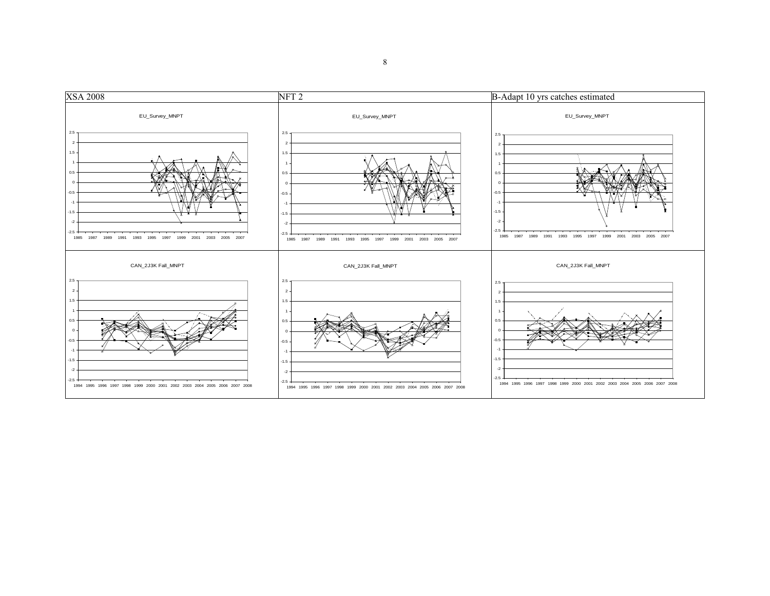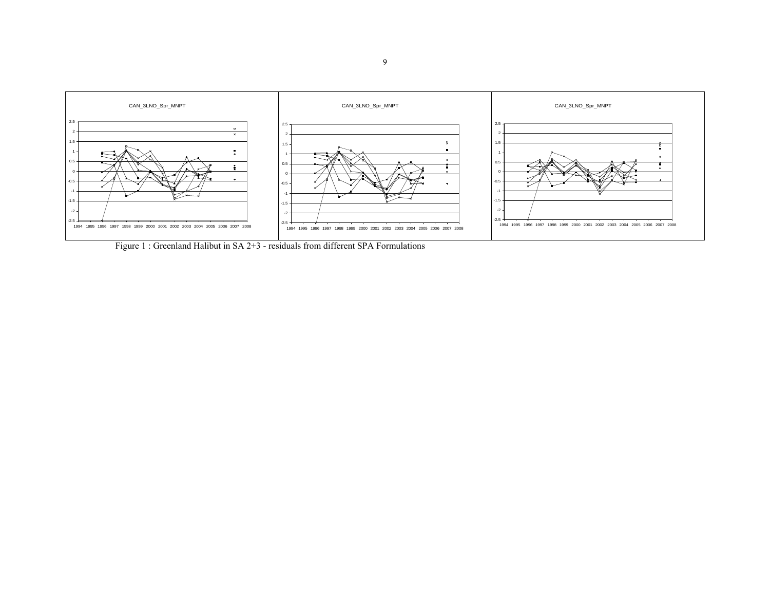

Figure 1 : Greenland Halibut in SA 2+3 - residuals from different SPA Formulations